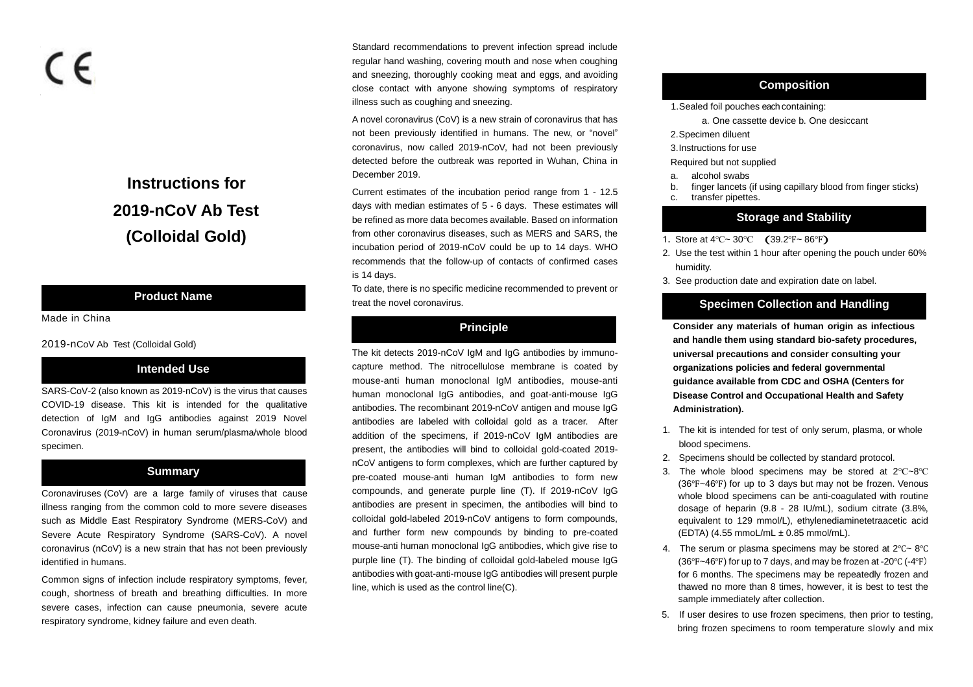# C E

# **Instructions for 2019-nCoV Ab Test (Colloidal Gold)**

# **Product Name**

Made in China

2019-nCoV Ab Test (Colloidal Gold)

# **Intended Use**

SARS-CoV-2 (also known as 2019-nCoV) is the virus that causes COVID-19 disease. This kit is intended for the qualitative detection of IgM and IgG antibodies against 2019 Novel Coronavirus (2019-nCoV) in human serum/plasma/whole blood specimen.

# **Summary**

Coronaviruses (CoV) are a large family of viruses that cause illness ranging from the common cold to more severe diseases such as Middle East Respiratory Syndrome (MERS-CoV) and Severe Acute Respiratory Syndrome (SARS-CoV). A novel coronavirus (nCoV) is a new strain that has not been previously identified in humans.

Common signs of infection include respiratory symptoms, fever, cough, shortness of breath and breathing difficulties. In more severe cases, infection can cause pneumonia, severe acute respiratory syndrome, kidney failure and even death.

Standard recommendations to prevent infection spread include regular hand washing, covering mouth and nose when coughing and sneezing, thoroughly cooking meat and eggs, and avoiding close contact with anyone showing symptoms of respiratory illness such as coughing and sneezing.

A novel coronavirus (CoV) is a new strain of coronavirus that has not been previously identified in humans. The new, or "novel" coronavirus, now called 2019-nCoV, had not been previously detected before the outbreak was reported in Wuhan, China in December 2019.

Current estimates of the incubation period range from 1 - 12.5 days with median estimates of 5 - 6 days. These estimates will be refined as more data becomes available. Based on information from other coronavirus diseases, such as MERS and SARS, the incubation period of 2019-nCoV could be up to 14 days. WHO recommends that the follow-up of contacts of confirmed cases is 14 days.

To date, there is no specific medicine recommended to prevent or treat the novel coronavirus.

# **Principle**

The kit detects 2019-nCoV IgM and IgG antibodies by immunocapture method. The nitrocellulose membrane is coated by mouse-anti human monoclonal IgM antibodies, mouse-anti human monoclonal IgG antibodies, and goat-anti-mouse IgG antibodies. The recombinant 2019-nCoV antigen and mouse IgG antibodies are labeled with colloidal gold as a tracer. After addition of the specimens, if 2019-nCoV IgM antibodies are present, the antibodies will bind to colloidal gold-coated 2019 nCoV antigens to form complexes, which are further captured by pre-coated mouse-anti human IgM antibodies to form new compounds, and generate purple line (T). If 2019-nCoV IgG antibodies are present in specimen, the antibodies will bind to colloidal gold-labeled 2019-nCoV antigens to form compounds, and further form new compounds by binding to pre-coated mouse-anti human monoclonal IgG antibodies, which give rise to purple line (T). The binding of colloidal gold-labeled mouse IgG antibodies with goat-anti-mouse IgG antibodies will present purple line, which is used as the control line(C).

# **Composition**

- 1. Sealed foil pouches each containing:
	- a. One cassette device b. One desiccant
- 2.Specimen diluent
- 3.Instructions for use

Required but not supplied

- a. alcohol swabs
- b. finger lancets (if using capillary blood from finger sticks)
- c. transfer pipettes.

# **Storage and Stability**

- 1. Store at 4℃<sup>~</sup> <sup>30</sup>℃ (39.2℉~ 86℉)
- 2. Use the test within 1 hour after opening the pouch under 60% humidity.
- 3. See production date and expiration date on label.

# **Specimen Collection and Handling**

**Consider any materials of human origin as infectious and handle them using standard bio-safety procedures, universal precautions and consider consulting your organizations policies and federal governmental guidance available from CDC and OSHA (Centers for Disease Control and Occupational Health and Safety Administration).**

- 1. The kit is intended for test of only serum, plasma, or whole blood specimens.
- 2. Specimens should be collected by standard protocol.
- 3. The whole blood specimens may be stored at 2℃~8℃ (36℉~46℉) for up to 3 days but may not be frozen. Venous whole blood specimens can be anti-coagulated with routine dosage of heparin (9.8 - 28 IU/mL), sodium citrate (3.8%, equivalent to 129 mmol/L), ethylenediaminetetraacetic acid (EDTA) (4.55 mmoL/mL ± 0.85 mmol/mL).
- 4. The serum or plasma specimens may be stored at 2℃~ 8℃ (36℉~46℉) for up to 7 days, and may be frozen at -20℃ (-4℉) for 6 months. The specimens may be repeatedly frozen and thawed no more than 8 times, however, it is best to test the sample immediately after collection.
- 5. If user desires to use frozen specimens, then prior to testing, bring frozen specimens to room temperature slowly and mix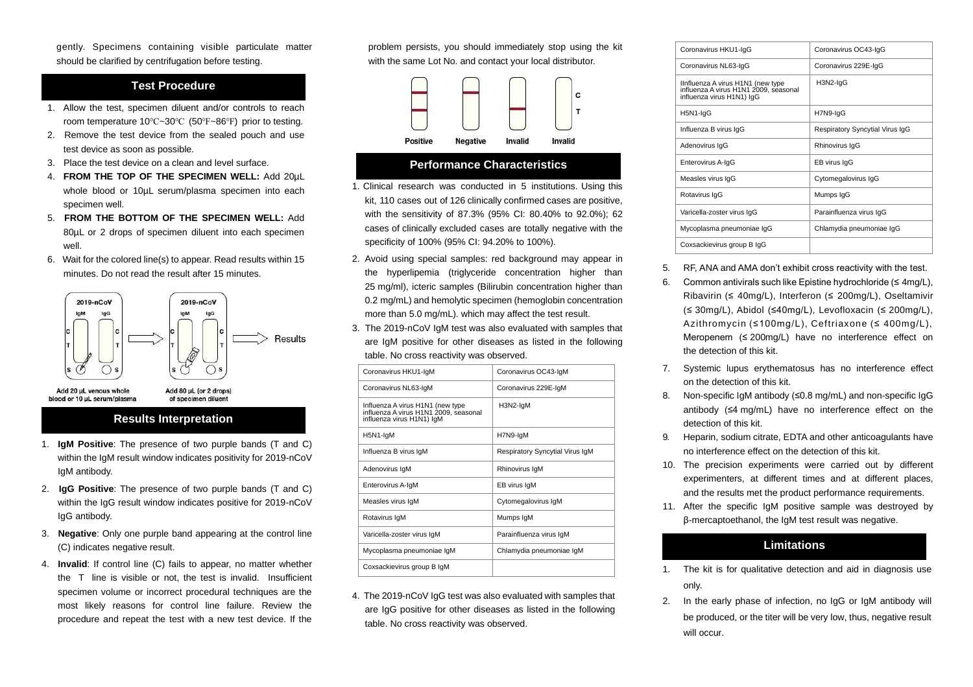gently. Specimens containing visible particulate matter should be clarified by centrifugation before testing.

# **Test Procedure**

- 1. Allow the test, specimen diluent and/or controls to reach room temperature 10℃~30℃ (50℉~86℉) prior to testing.
- 2. Remove the test device from the sealed pouch and use test device as soon as possible.
- 3. Place the test device on a clean and level surface.
- 4. **FROM THE TOP OF THE SPECIMEN WELL:** Add 20µL whole blood or 10µL serum/plasma specimen into each specimen well.
- 5. **FROM THE BOTTOM OF THE SPECIMEN WELL:** Add 80µL or 2 drops of specimen diluent into each specimen well.
- 6. Wait for the colored line(s) to appear. Read results within 15 minutes. Do not read the result after 15 minutes.



Add 20 uL venous whole blood or 10 uL serum/plasma

#### **Results Interpretation**

of specimen diluent

- 1. **IgM Positive**: The presence of two purple bands (T and C) within the IgM result window indicates positivity for 2019-nCoV IgM antibody.
- 2. **IgG Positive**: The presence of two purple bands (T and C) within the IgG result window indicates positive for 2019-nCoV IgG antibody.
- 3. **Negative**: Only one purple band appearing at the control line (C) indicates negative result.
- 4. **Invalid**: If control line (C) fails to appear, no matter whether the T line is visible or not, the test is invalid. Insufficient specimen volume or incorrect procedural techniques are the most likely reasons for control line failure. Review the procedure and repeat the test with a new test device. If the

problem persists, you should immediately stop using the kit with the same Lot No. and contact your local distributor.



#### **Performance Characteristics**

- 1. Clinical research was conducted in 5 institutions. Using this kit, 110 cases out of 126 clinically confirmed cases are positive. with the sensitivity of 87.3% (95% CI: 80.40% to 92.0%); 62 cases of clinically excluded cases are totally negative with the specificity of 100% (95% CI: 94.20% to 100%).
- 2. Avoid using special samples: red background may appear in the hyperlipemia (triglyceride concentration higher than 25 mg/ml), icteric samples (Bilirubin concentration higher than 0.2 mg/mL) and hemolytic specimen (hemoglobin concentration more than 5.0 mg/mL). which may affect the test result.
- 3. The 2019-nCoV IgM test was also evaluated with samples that are IgM positive for other diseases as listed in the following table. No cross reactivity was observed.

| Coronavirus HKU1-IqM                                                                                   | Coronavirus OC43-IqM            |
|--------------------------------------------------------------------------------------------------------|---------------------------------|
| Coronavirus NL63-IqM                                                                                   | Coronavirus 229E-IgM            |
| Influenza A virus H1N1 (new type<br>influenza A virus H1N1 2009, seasonal<br>influenza virus H1N1) IgM | H3N2-IgM                        |
| H5N1-IgM                                                                                               | H7N9-IgM                        |
| Influenza B virus IgM                                                                                  | Respiratory Syncytial Virus IgM |
| Adenovirus IqM                                                                                         | Rhinovirus IgM                  |
| Enterovirus A-IgM                                                                                      | EB virus IgM                    |
| Measles virus IgM                                                                                      | Cytomegalovirus IgM             |
| Rotavirus IqM                                                                                          | Mumps IgM                       |
| Varicella-zoster virus IgM                                                                             | Parainfluenza virus IgM         |
| Mycoplasma pneumoniae IgM                                                                              | Chlamydia pneumoniae IgM        |
| Coxsackievirus group B IgM                                                                             |                                 |

4. The 2019-nCoV IgG test was also evaluated with samples that are IgG positive for other diseases as listed in the following table. No cross reactivity was observed.

| Coronavirus HKU1-IgG                                                                                    | Coronavirus OC43-IqG            |
|---------------------------------------------------------------------------------------------------------|---------------------------------|
| Coronavirus NL63-IqG                                                                                    | Coronavirus 229E-IqG            |
| IInfluenza A virus H1N1 (new type<br>influenza A virus H1N1 2009, seasonal<br>influenza virus H1N1) IgG | H3N2-IqG                        |
| H5N1-IgG                                                                                                | H7N9-IqG                        |
| Influenza B virus IgG                                                                                   | Respiratory Syncytial Virus IgG |
| Adenovirus IgG                                                                                          | Rhinovirus IqG                  |
| Enterovirus A-IgG                                                                                       | EB virus IgG                    |
| Measles virus IgG                                                                                       | Cytomegalovirus IgG             |
| Rotavirus IgG                                                                                           | Mumps IgG                       |
| Varicella-zoster virus IgG                                                                              | Parainfluenza virus IgG         |
| Mycoplasma pneumoniae IqG                                                                               | Chlamydia pneumoniae IqG        |
| Coxsackievirus group B IgG                                                                              |                                 |
|                                                                                                         |                                 |

- 5. RF, ANA and AMA don't exhibit cross reactivity with the test.
- 6. Common antivirals such like Epistine hydrochloride ( $\leq 4$ mg/L), Ribavirin (≤ 40mg/L), Interferon (≤ 200mg/L), Oseltamivir (≤ 30mg/L), Abidol (≤40mg/L), Levofloxacin (≤ 200mg/L), Azithromycin (≤100mg/L), Ceftriaxone (≤ 400mg/L), Meropenem (≤ 200mg/L) have no interference effect on the detection of this kit.
- 7. Systemic lupus erythematosus has no interference effect on the detection of this kit.
- 8. Non-specific IgM antibody (≤0.8 mg/mL) and non-specific IgG antibody (≤4 mg/mL) have no interference effect on the detection of this kit.
- 9. Heparin, sodium citrate, EDTA and other anticoagulants have no interference effect on the detection of this kit.
- 10. The precision experiments were carried out by different experimenters, at different times and at different places, and the results met the product performance requirements.
- 11. After the specific IgM positive sample was destroyed by β-mercaptoethanol, the IgM test result was negative.

# **Limitations**

- 1. The kit is for qualitative detection and aid in diagnosis use only.
- 2. In the early phase of infection, no IgG or IgM antibody will be produced, or the titer will be very low, thus, negative result will occur.